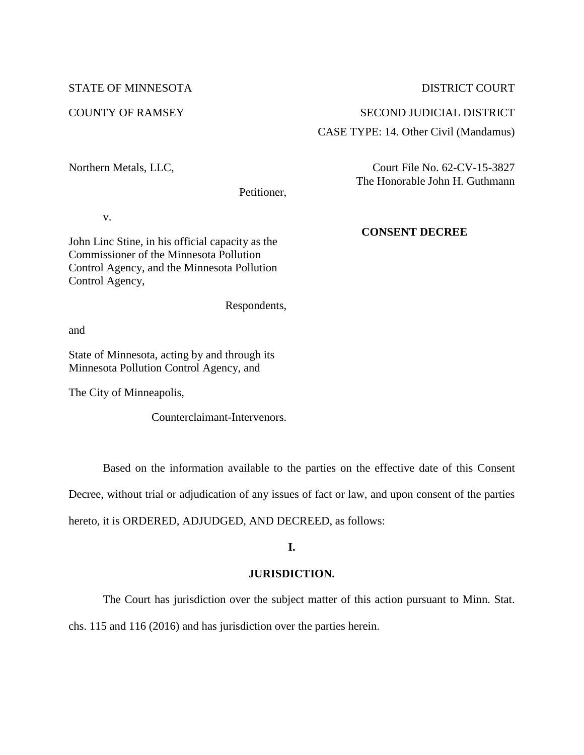## STATE OF MINNESOTA

## COUNTY OF RAMSEY

# DISTRICT COURT

### SECOND JUDICIAL DISTRICT

# CASE TYPE: 14. Other Civil (Mandamus)

Northern Metals, LLC,

Petitioner,

v.

John Linc Stine, in his official capacity as the Commissioner of the Minnesota Pollution Control Agency, and the Minnesota Pollution Control Agency,

Respondents,

and

State of Minnesota, acting by and through its Minnesota Pollution Control Agency, and

The City of Minneapolis,

Counterclaimant-Intervenors.

Based on the information available to the parties on the effective date of this Consent

Decree, without trial or adjudication of any issues of fact or law, and upon consent of the parties

hereto, it is ORDERED, ADJUDGED, AND DECREED, as follows:

# **I.**

# **JURISDICTION.**

The Court has jurisdiction over the subject matter of this action pursuant to Minn. Stat.

chs. 115 and 116 (2016) and has jurisdiction over the parties herein.

Court File No. 62-CV-15-3827 The Honorable John H. Guthmann

# **CONSENT DECREE**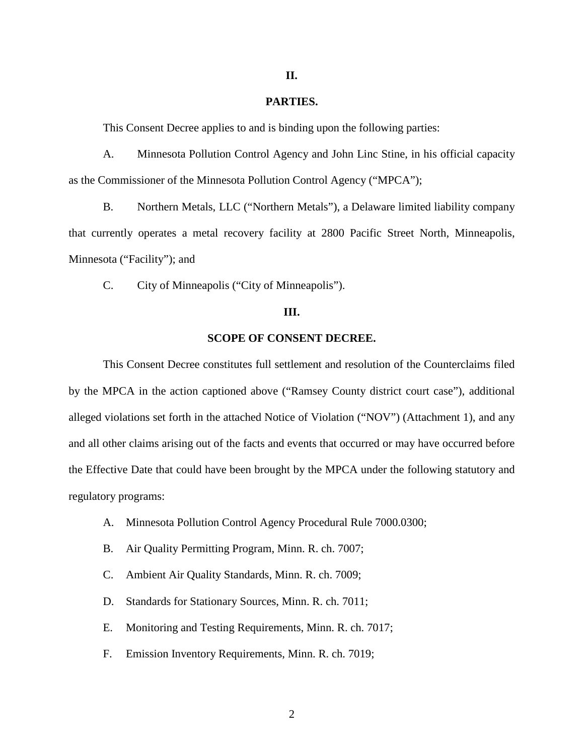### **II.**

### **PARTIES.**

This Consent Decree applies to and is binding upon the following parties:

A. Minnesota Pollution Control Agency and John Linc Stine, in his official capacity as the Commissioner of the Minnesota Pollution Control Agency ("MPCA");

B. Northern Metals, LLC ("Northern Metals"), a Delaware limited liability company that currently operates a metal recovery facility at 2800 Pacific Street North, Minneapolis, Minnesota ("Facility"); and

C. City of Minneapolis ("City of Minneapolis").

# **III.**

### **SCOPE OF CONSENT DECREE.**

This Consent Decree constitutes full settlement and resolution of the Counterclaims filed by the MPCA in the action captioned above ("Ramsey County district court case"), additional alleged violations set forth in the attached Notice of Violation ("NOV") (Attachment 1), and any and all other claims arising out of the facts and events that occurred or may have occurred before the Effective Date that could have been brought by the MPCA under the following statutory and regulatory programs:

- A. Minnesota Pollution Control Agency Procedural Rule 7000.0300;
- B. Air Quality Permitting Program, Minn. R. ch. 7007;
- C. Ambient Air Quality Standards, Minn. R. ch. 7009;
- D. Standards for Stationary Sources, Minn. R. ch. 7011;
- E. Monitoring and Testing Requirements, Minn. R. ch. 7017;
- F. Emission Inventory Requirements, Minn. R. ch. 7019;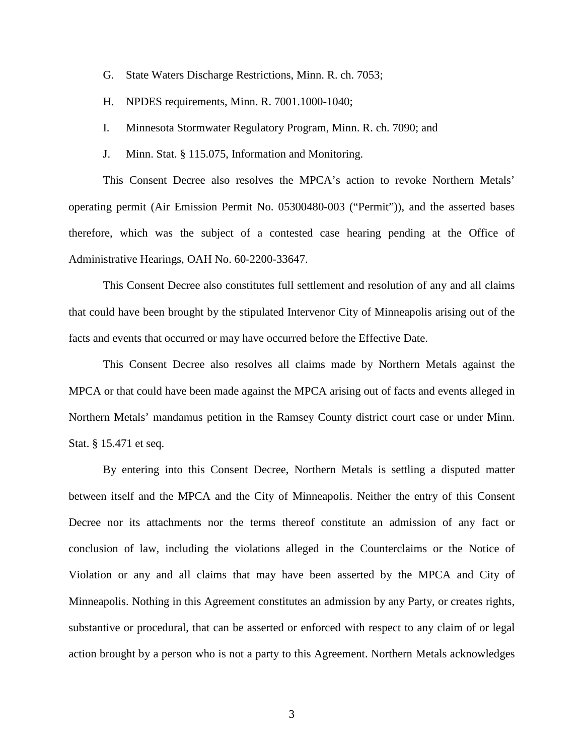- G. State Waters Discharge Restrictions, Minn. R. ch. 7053;
- H. NPDES requirements, Minn. R. 7001.1000-1040;
- I. Minnesota Stormwater Regulatory Program, Minn. R. ch. 7090; and
- J. Minn. Stat. § 115.075, Information and Monitoring.

This Consent Decree also resolves the MPCA's action to revoke Northern Metals' operating permit (Air Emission Permit No. 05300480-003 ("Permit")), and the asserted bases therefore, which was the subject of a contested case hearing pending at the Office of Administrative Hearings, OAH No. 60-2200-33647.

This Consent Decree also constitutes full settlement and resolution of any and all claims that could have been brought by the stipulated Intervenor City of Minneapolis arising out of the facts and events that occurred or may have occurred before the Effective Date.

This Consent Decree also resolves all claims made by Northern Metals against the MPCA or that could have been made against the MPCA arising out of facts and events alleged in Northern Metals' mandamus petition in the Ramsey County district court case or under Minn. Stat. § 15.471 et seq.

By entering into this Consent Decree, Northern Metals is settling a disputed matter between itself and the MPCA and the City of Minneapolis. Neither the entry of this Consent Decree nor its attachments nor the terms thereof constitute an admission of any fact or conclusion of law, including the violations alleged in the Counterclaims or the Notice of Violation or any and all claims that may have been asserted by the MPCA and City of Minneapolis. Nothing in this Agreement constitutes an admission by any Party, or creates rights, substantive or procedural, that can be asserted or enforced with respect to any claim of or legal action brought by a person who is not a party to this Agreement. Northern Metals acknowledges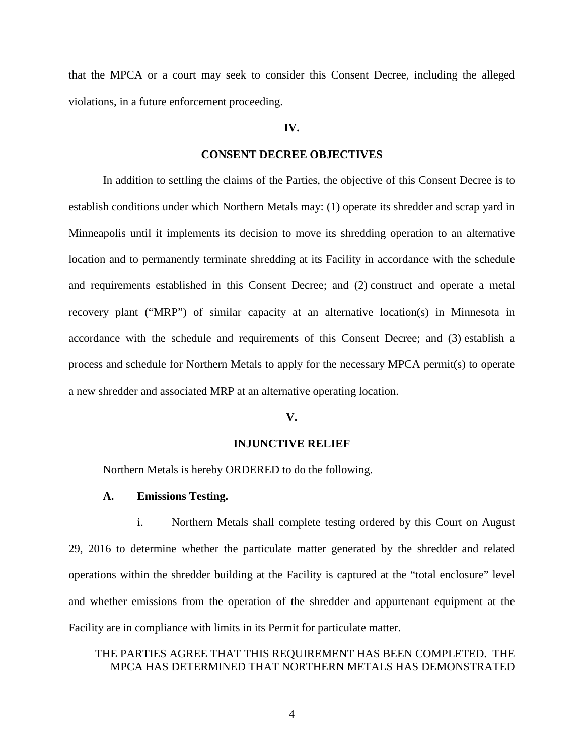that the MPCA or a court may seek to consider this Consent Decree, including the alleged violations, in a future enforcement proceeding.

## **IV.**

### **CONSENT DECREE OBJECTIVES**

In addition to settling the claims of the Parties, the objective of this Consent Decree is to establish conditions under which Northern Metals may: (1) operate its shredder and scrap yard in Minneapolis until it implements its decision to move its shredding operation to an alternative location and to permanently terminate shredding at its Facility in accordance with the schedule and requirements established in this Consent Decree; and (2) construct and operate a metal recovery plant ("MRP") of similar capacity at an alternative location(s) in Minnesota in accordance with the schedule and requirements of this Consent Decree; and (3) establish a process and schedule for Northern Metals to apply for the necessary MPCA permit(s) to operate a new shredder and associated MRP at an alternative operating location.

### **V.**

### **INJUNCTIVE RELIEF**

Northern Metals is hereby ORDERED to do the following.

### **A. Emissions Testing.**

i. Northern Metals shall complete testing ordered by this Court on August 29, 2016 to determine whether the particulate matter generated by the shredder and related operations within the shredder building at the Facility is captured at the "total enclosure" level and whether emissions from the operation of the shredder and appurtenant equipment at the Facility are in compliance with limits in its Permit for particulate matter.

## THE PARTIES AGREE THAT THIS REQUIREMENT HAS BEEN COMPLETED. THE MPCA HAS DETERMINED THAT NORTHERN METALS HAS DEMONSTRATED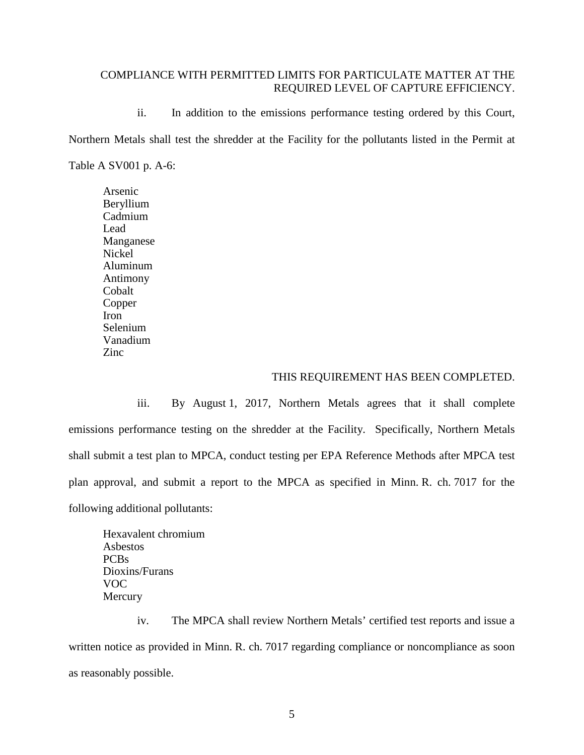# COMPLIANCE WITH PERMITTED LIMITS FOR PARTICULATE MATTER AT THE REQUIRED LEVEL OF CAPTURE EFFICIENCY.

ii. In addition to the emissions performance testing ordered by this Court, Northern Metals shall test the shredder at the Facility for the pollutants listed in the Permit at Table A SV001 p. A-6:

Arsenic Beryllium Cadmium Lead Manganese Nickel Aluminum Antimony Cobalt Copper Iron Selenium Vanadium Zinc

### THIS REQUIREMENT HAS BEEN COMPLETED.

iii. By August 1, 2017, Northern Metals agrees that it shall complete emissions performance testing on the shredder at the Facility. Specifically, Northern Metals shall submit a test plan to MPCA, conduct testing per EPA Reference Methods after MPCA test plan approval, and submit a report to the MPCA as specified in Minn. R. ch. 7017 for the following additional pollutants:

Hexavalent chromium Asbestos PCBs Dioxins/Furans VOC **Mercury** 

iv. The MPCA shall review Northern Metals' certified test reports and issue a written notice as provided in Minn. R. ch. 7017 regarding compliance or noncompliance as soon as reasonably possible.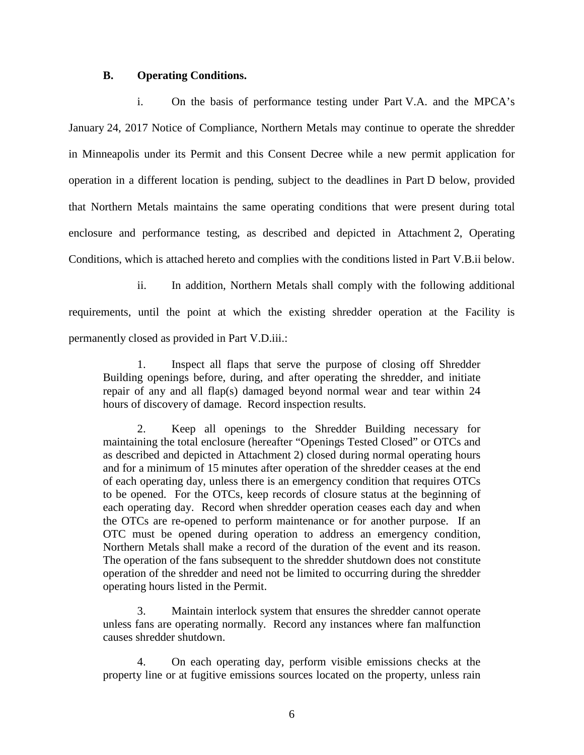### **B. Operating Conditions.**

i. On the basis of performance testing under Part V.A. and the MPCA's January 24, 2017 Notice of Compliance, Northern Metals may continue to operate the shredder in Minneapolis under its Permit and this Consent Decree while a new permit application for operation in a different location is pending, subject to the deadlines in Part D below, provided that Northern Metals maintains the same operating conditions that were present during total enclosure and performance testing, as described and depicted in Attachment 2, Operating Conditions, which is attached hereto and complies with the conditions listed in Part V.B.ii below.

ii. In addition, Northern Metals shall comply with the following additional requirements, until the point at which the existing shredder operation at the Facility is permanently closed as provided in Part V.D.iii.:

1. Inspect all flaps that serve the purpose of closing off Shredder Building openings before, during, and after operating the shredder, and initiate repair of any and all flap(s) damaged beyond normal wear and tear within 24 hours of discovery of damage. Record inspection results.

2. Keep all openings to the Shredder Building necessary for maintaining the total enclosure (hereafter "Openings Tested Closed" or OTCs and as described and depicted in Attachment 2) closed during normal operating hours and for a minimum of 15 minutes after operation of the shredder ceases at the end of each operating day, unless there is an emergency condition that requires OTCs to be opened. For the OTCs, keep records of closure status at the beginning of each operating day. Record when shredder operation ceases each day and when the OTCs are re-opened to perform maintenance or for another purpose. If an OTC must be opened during operation to address an emergency condition, Northern Metals shall make a record of the duration of the event and its reason. The operation of the fans subsequent to the shredder shutdown does not constitute operation of the shredder and need not be limited to occurring during the shredder operating hours listed in the Permit.

3. Maintain interlock system that ensures the shredder cannot operate unless fans are operating normally. Record any instances where fan malfunction causes shredder shutdown.

4. On each operating day, perform visible emissions checks at the property line or at fugitive emissions sources located on the property, unless rain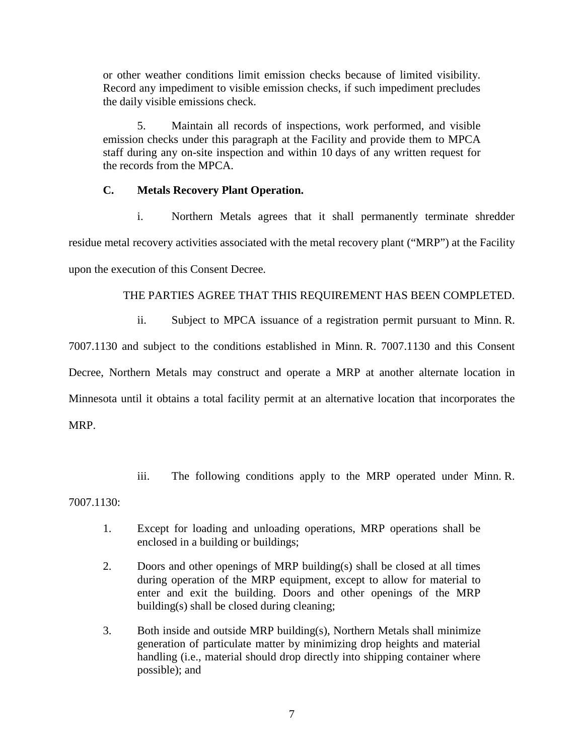or other weather conditions limit emission checks because of limited visibility. Record any impediment to visible emission checks, if such impediment precludes the daily visible emissions check.

5. Maintain all records of inspections, work performed, and visible emission checks under this paragraph at the Facility and provide them to MPCA staff during any on-site inspection and within 10 days of any written request for the records from the MPCA.

# **C. Metals Recovery Plant Operation.**

i. Northern Metals agrees that it shall permanently terminate shredder residue metal recovery activities associated with the metal recovery plant ("MRP") at the Facility upon the execution of this Consent Decree.

# THE PARTIES AGREE THAT THIS REQUIREMENT HAS BEEN COMPLETED.

ii. Subject to MPCA issuance of a registration permit pursuant to Minn. R.

7007.1130 and subject to the conditions established in Minn. R. 7007.1130 and this Consent Decree, Northern Metals may construct and operate a MRP at another alternate location in Minnesota until it obtains a total facility permit at an alternative location that incorporates the MRP.

iii. The following conditions apply to the MRP operated under Minn. R.

7007.1130:

- 1. Except for loading and unloading operations, MRP operations shall be enclosed in a building or buildings;
- 2. Doors and other openings of MRP building(s) shall be closed at all times during operation of the MRP equipment, except to allow for material to enter and exit the building. Doors and other openings of the MRP building(s) shall be closed during cleaning;
- 3. Both inside and outside MRP building(s), Northern Metals shall minimize generation of particulate matter by minimizing drop heights and material handling (i.e., material should drop directly into shipping container where possible); and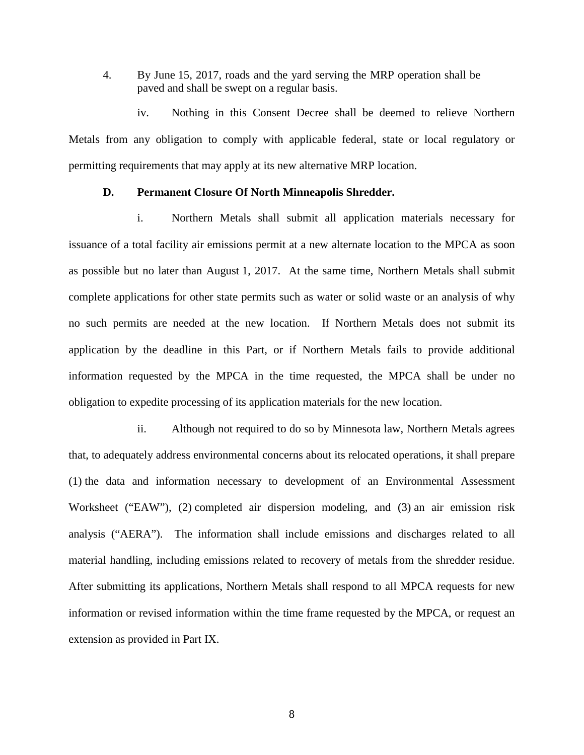4. By June 15, 2017, roads and the yard serving the MRP operation shall be paved and shall be swept on a regular basis.

iv. Nothing in this Consent Decree shall be deemed to relieve Northern Metals from any obligation to comply with applicable federal, state or local regulatory or permitting requirements that may apply at its new alternative MRP location.

### **D. Permanent Closure Of North Minneapolis Shredder.**

i. Northern Metals shall submit all application materials necessary for issuance of a total facility air emissions permit at a new alternate location to the MPCA as soon as possible but no later than August 1, 2017. At the same time, Northern Metals shall submit complete applications for other state permits such as water or solid waste or an analysis of why no such permits are needed at the new location. If Northern Metals does not submit its application by the deadline in this Part, or if Northern Metals fails to provide additional information requested by the MPCA in the time requested, the MPCA shall be under no obligation to expedite processing of its application materials for the new location.

ii. Although not required to do so by Minnesota law, Northern Metals agrees that, to adequately address environmental concerns about its relocated operations, it shall prepare (1) the data and information necessary to development of an Environmental Assessment Worksheet ("EAW"), (2) completed air dispersion modeling, and (3) an air emission risk analysis ("AERA"). The information shall include emissions and discharges related to all material handling, including emissions related to recovery of metals from the shredder residue. After submitting its applications, Northern Metals shall respond to all MPCA requests for new information or revised information within the time frame requested by the MPCA, or request an extension as provided in Part IX.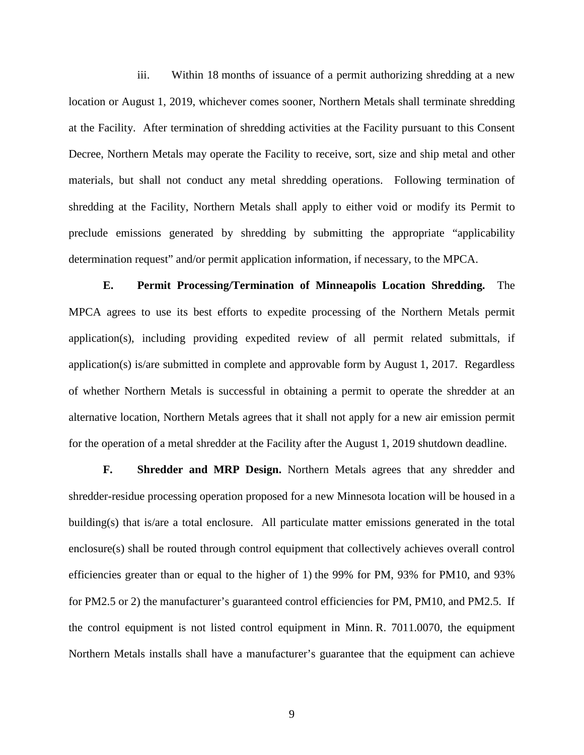iii. Within 18 months of issuance of a permit authorizing shredding at a new location or August 1, 2019, whichever comes sooner, Northern Metals shall terminate shredding at the Facility. After termination of shredding activities at the Facility pursuant to this Consent Decree, Northern Metals may operate the Facility to receive, sort, size and ship metal and other materials, but shall not conduct any metal shredding operations. Following termination of shredding at the Facility, Northern Metals shall apply to either void or modify its Permit to preclude emissions generated by shredding by submitting the appropriate "applicability determination request" and/or permit application information, if necessary, to the MPCA.

**E. Permit Processing/Termination of Minneapolis Location Shredding.** The MPCA agrees to use its best efforts to expedite processing of the Northern Metals permit application(s), including providing expedited review of all permit related submittals, if application(s) is/are submitted in complete and approvable form by August 1, 2017. Regardless of whether Northern Metals is successful in obtaining a permit to operate the shredder at an alternative location, Northern Metals agrees that it shall not apply for a new air emission permit for the operation of a metal shredder at the Facility after the August 1, 2019 shutdown deadline.

**F. Shredder and MRP Design.** Northern Metals agrees that any shredder and shredder-residue processing operation proposed for a new Minnesota location will be housed in a building(s) that is/are a total enclosure. All particulate matter emissions generated in the total enclosure(s) shall be routed through control equipment that collectively achieves overall control efficiencies greater than or equal to the higher of 1) the 99% for PM, 93% for PM10, and 93% for PM2.5 or 2) the manufacturer's guaranteed control efficiencies for PM, PM10, and PM2.5. If the control equipment is not listed control equipment in Minn. R. 7011.0070, the equipment Northern Metals installs shall have a manufacturer's guarantee that the equipment can achieve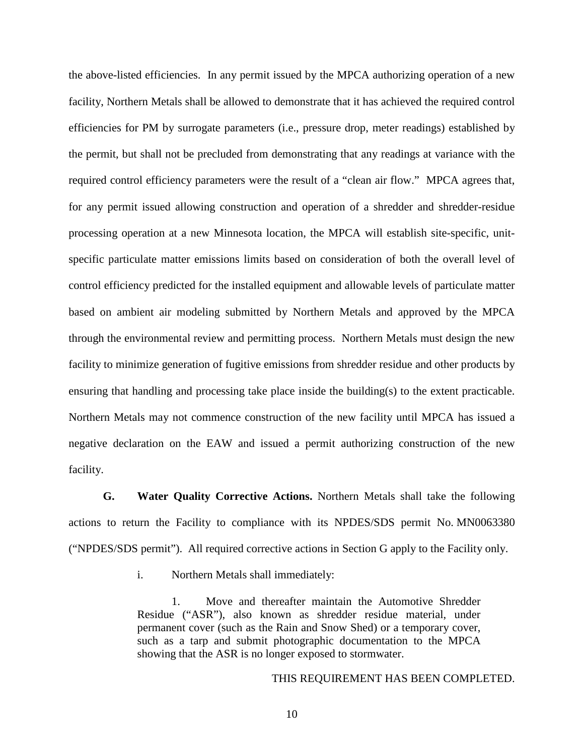the above-listed efficiencies. In any permit issued by the MPCA authorizing operation of a new facility, Northern Metals shall be allowed to demonstrate that it has achieved the required control efficiencies for PM by surrogate parameters (i.e., pressure drop, meter readings) established by the permit, but shall not be precluded from demonstrating that any readings at variance with the required control efficiency parameters were the result of a "clean air flow." MPCA agrees that, for any permit issued allowing construction and operation of a shredder and shredder-residue processing operation at a new Minnesota location, the MPCA will establish site-specific, unitspecific particulate matter emissions limits based on consideration of both the overall level of control efficiency predicted for the installed equipment and allowable levels of particulate matter based on ambient air modeling submitted by Northern Metals and approved by the MPCA through the environmental review and permitting process. Northern Metals must design the new facility to minimize generation of fugitive emissions from shredder residue and other products by ensuring that handling and processing take place inside the building(s) to the extent practicable. Northern Metals may not commence construction of the new facility until MPCA has issued a negative declaration on the EAW and issued a permit authorizing construction of the new facility.

**G. Water Quality Corrective Actions.** Northern Metals shall take the following actions to return the Facility to compliance with its NPDES/SDS permit No. MN0063380 ("NPDES/SDS permit"). All required corrective actions in Section G apply to the Facility only.

i. Northern Metals shall immediately:

1. Move and thereafter maintain the Automotive Shredder Residue ("ASR"), also known as shredder residue material, under permanent cover (such as the Rain and Snow Shed) or a temporary cover, such as a tarp and submit photographic documentation to the MPCA showing that the ASR is no longer exposed to stormwater.

THIS REQUIREMENT HAS BEEN COMPLETED.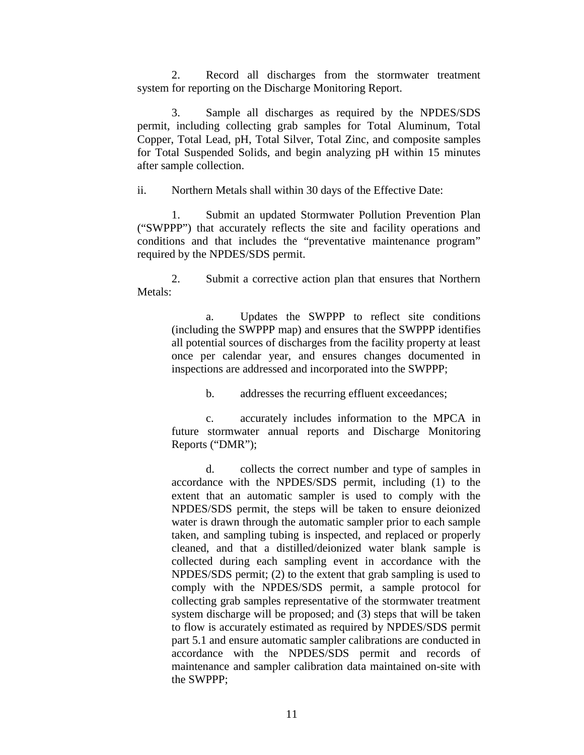2. Record all discharges from the stormwater treatment system for reporting on the Discharge Monitoring Report.

3. Sample all discharges as required by the NPDES/SDS permit, including collecting grab samples for Total Aluminum, Total Copper, Total Lead, pH, Total Silver, Total Zinc, and composite samples for Total Suspended Solids, and begin analyzing pH within 15 minutes after sample collection.

ii. Northern Metals shall within 30 days of the Effective Date:

1. Submit an updated Stormwater Pollution Prevention Plan ("SWPPP") that accurately reflects the site and facility operations and conditions and that includes the "preventative maintenance program" required by the NPDES/SDS permit.

2. Submit a corrective action plan that ensures that Northern Metals:

a. Updates the SWPPP to reflect site conditions (including the SWPPP map) and ensures that the SWPPP identifies all potential sources of discharges from the facility property at least once per calendar year, and ensures changes documented in inspections are addressed and incorporated into the SWPPP;

b. addresses the recurring effluent exceedances;

c. accurately includes information to the MPCA in future stormwater annual reports and Discharge Monitoring Reports ("DMR");

d. collects the correct number and type of samples in accordance with the NPDES/SDS permit, including (1) to the extent that an automatic sampler is used to comply with the NPDES/SDS permit, the steps will be taken to ensure deionized water is drawn through the automatic sampler prior to each sample taken, and sampling tubing is inspected, and replaced or properly cleaned, and that a distilled/deionized water blank sample is collected during each sampling event in accordance with the NPDES/SDS permit; (2) to the extent that grab sampling is used to comply with the NPDES/SDS permit, a sample protocol for collecting grab samples representative of the stormwater treatment system discharge will be proposed; and (3) steps that will be taken to flow is accurately estimated as required by NPDES/SDS permit part 5.1 and ensure automatic sampler calibrations are conducted in accordance with the NPDES/SDS permit and records of maintenance and sampler calibration data maintained on-site with the SWPPP;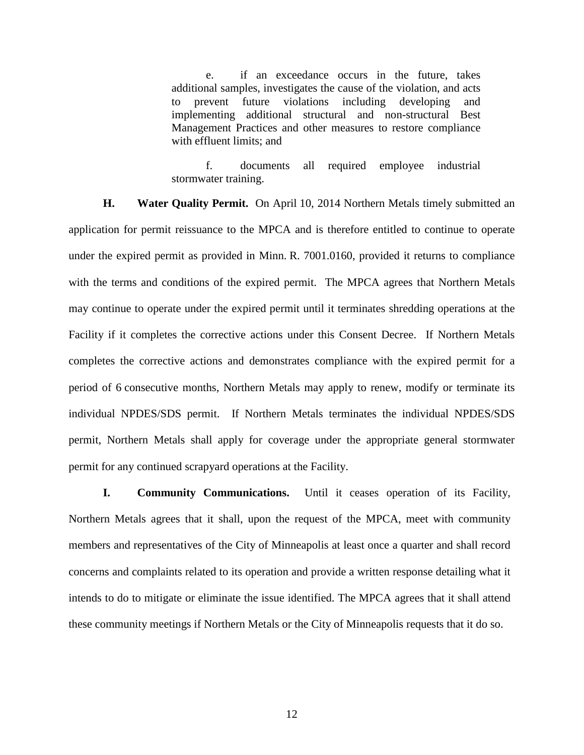e. if an exceedance occurs in the future, takes additional samples, investigates the cause of the violation, and acts to prevent future violations including developing and implementing additional structural and non-structural Best Management Practices and other measures to restore compliance with effluent limits; and

f. documents all required employee industrial stormwater training.

**H. Water Quality Permit.** On April 10, 2014 Northern Metals timely submitted an application for permit reissuance to the MPCA and is therefore entitled to continue to operate under the expired permit as provided in Minn. R. 7001.0160, provided it returns to compliance with the terms and conditions of the expired permit. The MPCA agrees that Northern Metals may continue to operate under the expired permit until it terminates shredding operations at the Facility if it completes the corrective actions under this Consent Decree. If Northern Metals completes the corrective actions and demonstrates compliance with the expired permit for a period of 6 consecutive months, Northern Metals may apply to renew, modify or terminate its individual NPDES/SDS permit. If Northern Metals terminates the individual NPDES/SDS permit, Northern Metals shall apply for coverage under the appropriate general stormwater permit for any continued scrapyard operations at the Facility.

**I. Community Communications.** Until it ceases operation of its Facility, Northern Metals agrees that it shall, upon the request of the MPCA, meet with community members and representatives of the City of Minneapolis at least once a quarter and shall record concerns and complaints related to its operation and provide a written response detailing what it intends to do to mitigate or eliminate the issue identified. The MPCA agrees that it shall attend these community meetings if Northern Metals or the City of Minneapolis requests that it do so.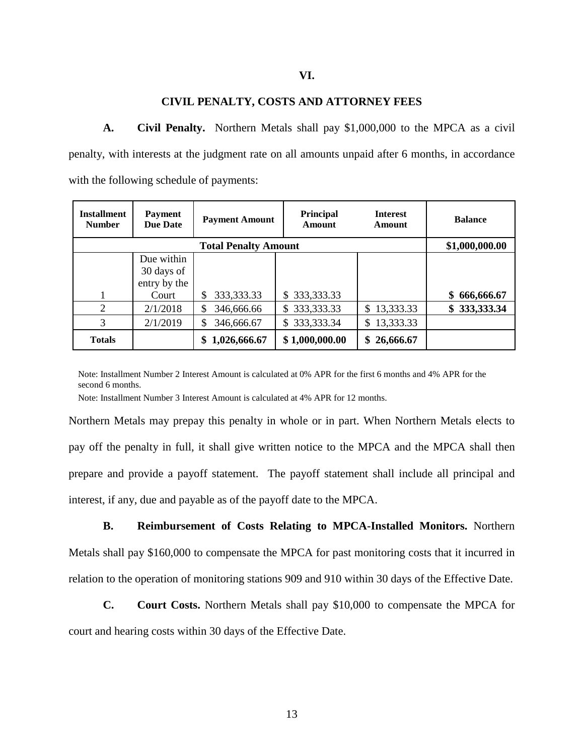### **VI.**

### **CIVIL PENALTY, COSTS AND ATTORNEY FEES**

**A. Civil Penalty.** Northern Metals shall pay \$1,000,000 to the MPCA as a civil penalty, with interests at the judgment rate on all amounts unpaid after 6 months, in accordance with the following schedule of payments:

| <b>Installment</b><br><b>Number</b> | <b>Payment</b><br><b>Due Date</b> | <b>Payment Amount</b> | Principal<br>Amount | <b>Interest</b><br>Amount | <b>Balance</b>   |
|-------------------------------------|-----------------------------------|-----------------------|---------------------|---------------------------|------------------|
|                                     | \$1,000,000.00                    |                       |                     |                           |                  |
|                                     | Due within                        |                       |                     |                           |                  |
|                                     | 30 days of                        |                       |                     |                           |                  |
|                                     | entry by the                      |                       |                     |                           |                  |
|                                     | Court                             | 333, 333. 33<br>\$    | \$333,333.33        |                           | 666,666.67<br>\$ |
| 2                                   | 2/1/2018                          | \$<br>346,666.66      | \$333,333.33        | \$13,333.33               | \$333,333.34     |
| 3                                   | 2/1/2019                          | \$<br>346,666.67      | \$333,333.34        | 13,333.33<br>S.           |                  |
| <b>Totals</b>                       |                                   | 1,026,666.67<br>\$    | \$1,000,000.00      | \$26,666.67               |                  |

Note: Installment Number 2 Interest Amount is calculated at 0% APR for the first 6 months and 4% APR for the second 6 months.

Note: Installment Number 3 Interest Amount is calculated at 4% APR for 12 months.

Northern Metals may prepay this penalty in whole or in part. When Northern Metals elects to pay off the penalty in full, it shall give written notice to the MPCA and the MPCA shall then prepare and provide a payoff statement. The payoff statement shall include all principal and interest, if any, due and payable as of the payoff date to the MPCA.

**B. Reimbursement of Costs Relating to MPCA-Installed Monitors.** Northern Metals shall pay \$160,000 to compensate the MPCA for past monitoring costs that it incurred in relation to the operation of monitoring stations 909 and 910 within 30 days of the Effective Date.

**C. Court Costs.** Northern Metals shall pay \$10,000 to compensate the MPCA for court and hearing costs within 30 days of the Effective Date.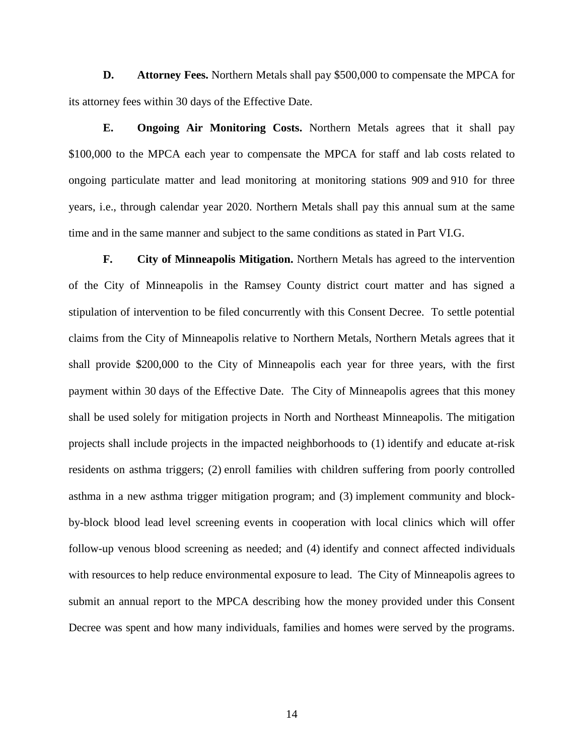**D. Attorney Fees.** Northern Metals shall pay \$500,000 to compensate the MPCA for its attorney fees within 30 days of the Effective Date.

**E. Ongoing Air Monitoring Costs.** Northern Metals agrees that it shall pay \$100,000 to the MPCA each year to compensate the MPCA for staff and lab costs related to ongoing particulate matter and lead monitoring at monitoring stations 909 and 910 for three years, i.e., through calendar year 2020. Northern Metals shall pay this annual sum at the same time and in the same manner and subject to the same conditions as stated in Part VI.G.

**F. City of Minneapolis Mitigation.** Northern Metals has agreed to the intervention of the City of Minneapolis in the Ramsey County district court matter and has signed a stipulation of intervention to be filed concurrently with this Consent Decree. To settle potential claims from the City of Minneapolis relative to Northern Metals, Northern Metals agrees that it shall provide \$200,000 to the City of Minneapolis each year for three years, with the first payment within 30 days of the Effective Date. The City of Minneapolis agrees that this money shall be used solely for mitigation projects in North and Northeast Minneapolis. The mitigation projects shall include projects in the impacted neighborhoods to (1) identify and educate at-risk residents on asthma triggers; (2) enroll families with children suffering from poorly controlled asthma in a new asthma trigger mitigation program; and (3) implement community and blockby-block blood lead level screening events in cooperation with local clinics which will offer follow-up venous blood screening as needed; and (4) identify and connect affected individuals with resources to help reduce environmental exposure to lead. The City of Minneapolis agrees to submit an annual report to the MPCA describing how the money provided under this Consent Decree was spent and how many individuals, families and homes were served by the programs.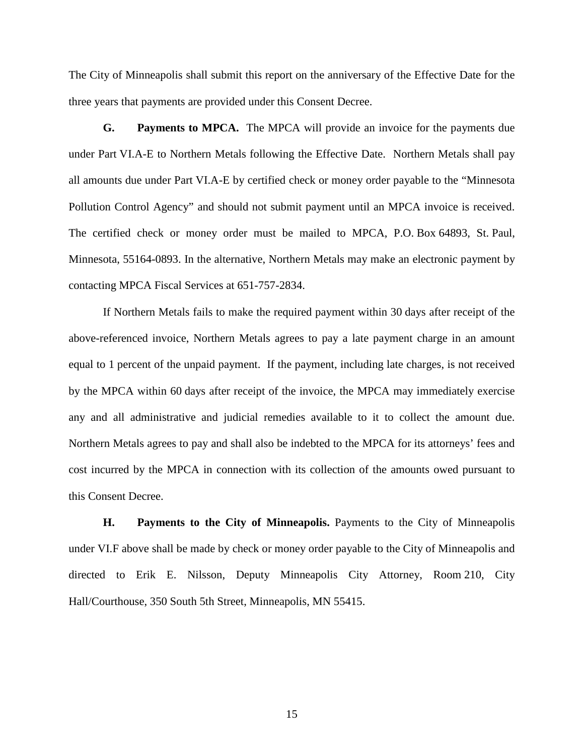The City of Minneapolis shall submit this report on the anniversary of the Effective Date for the three years that payments are provided under this Consent Decree.

**G. Payments to MPCA.** The MPCA will provide an invoice for the payments due under Part VI.A-E to Northern Metals following the Effective Date. Northern Metals shall pay all amounts due under Part VI.A-E by certified check or money order payable to the "Minnesota Pollution Control Agency" and should not submit payment until an MPCA invoice is received. The certified check or money order must be mailed to MPCA, P.O. Box 64893, St. Paul, Minnesota, 55164-0893. In the alternative, Northern Metals may make an electronic payment by contacting MPCA Fiscal Services at 651-757-2834.

If Northern Metals fails to make the required payment within 30 days after receipt of the above-referenced invoice, Northern Metals agrees to pay a late payment charge in an amount equal to 1 percent of the unpaid payment. If the payment, including late charges, is not received by the MPCA within 60 days after receipt of the invoice, the MPCA may immediately exercise any and all administrative and judicial remedies available to it to collect the amount due. Northern Metals agrees to pay and shall also be indebted to the MPCA for its attorneys' fees and cost incurred by the MPCA in connection with its collection of the amounts owed pursuant to this Consent Decree.

**H. Payments to the City of Minneapolis.** Payments to the City of Minneapolis under VI.F above shall be made by check or money order payable to the City of Minneapolis and directed to Erik E. Nilsson, Deputy Minneapolis City Attorney, Room 210, City Hall/Courthouse, 350 South 5th Street, Minneapolis, MN 55415.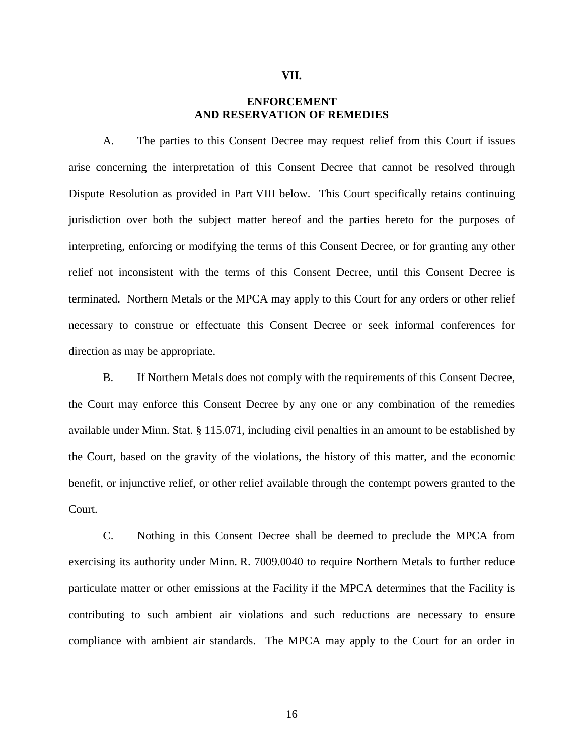#### **VII.**

# **ENFORCEMENT AND RESERVATION OF REMEDIES**

A. The parties to this Consent Decree may request relief from this Court if issues arise concerning the interpretation of this Consent Decree that cannot be resolved through Dispute Resolution as provided in Part VIII below. This Court specifically retains continuing jurisdiction over both the subject matter hereof and the parties hereto for the purposes of interpreting, enforcing or modifying the terms of this Consent Decree, or for granting any other relief not inconsistent with the terms of this Consent Decree, until this Consent Decree is terminated. Northern Metals or the MPCA may apply to this Court for any orders or other relief necessary to construe or effectuate this Consent Decree or seek informal conferences for direction as may be appropriate.

B. If Northern Metals does not comply with the requirements of this Consent Decree, the Court may enforce this Consent Decree by any one or any combination of the remedies available under Minn. Stat. § 115.071, including civil penalties in an amount to be established by the Court, based on the gravity of the violations, the history of this matter, and the economic benefit, or injunctive relief, or other relief available through the contempt powers granted to the Court.

C. Nothing in this Consent Decree shall be deemed to preclude the MPCA from exercising its authority under Minn. R. 7009.0040 to require Northern Metals to further reduce particulate matter or other emissions at the Facility if the MPCA determines that the Facility is contributing to such ambient air violations and such reductions are necessary to ensure compliance with ambient air standards. The MPCA may apply to the Court for an order in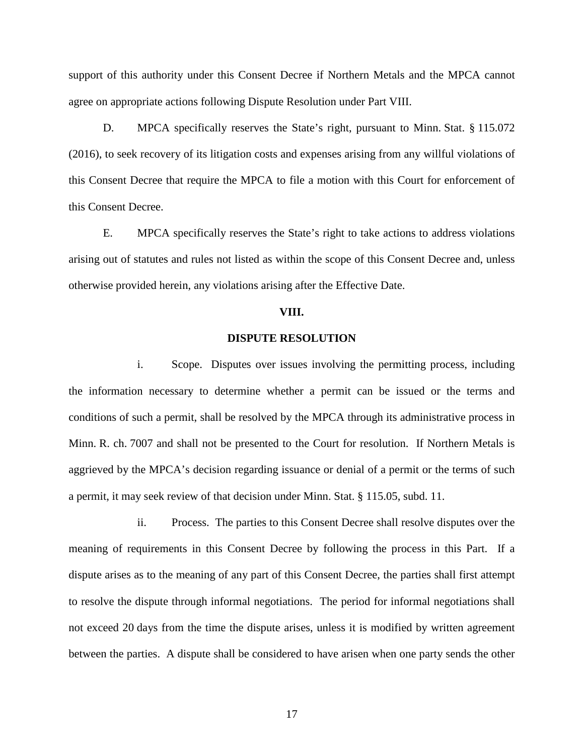support of this authority under this Consent Decree if Northern Metals and the MPCA cannot agree on appropriate actions following Dispute Resolution under Part VIII.

D. MPCA specifically reserves the State's right, pursuant to Minn. Stat. § 115.072 (2016), to seek recovery of its litigation costs and expenses arising from any willful violations of this Consent Decree that require the MPCA to file a motion with this Court for enforcement of this Consent Decree.

E. MPCA specifically reserves the State's right to take actions to address violations arising out of statutes and rules not listed as within the scope of this Consent Decree and, unless otherwise provided herein, any violations arising after the Effective Date.

#### **VIII.**

### **DISPUTE RESOLUTION**

i. Scope. Disputes over issues involving the permitting process, including the information necessary to determine whether a permit can be issued or the terms and conditions of such a permit, shall be resolved by the MPCA through its administrative process in Minn. R. ch. 7007 and shall not be presented to the Court for resolution. If Northern Metals is aggrieved by the MPCA's decision regarding issuance or denial of a permit or the terms of such a permit, it may seek review of that decision under Minn. Stat. § 115.05, subd. 11.

ii. Process. The parties to this Consent Decree shall resolve disputes over the meaning of requirements in this Consent Decree by following the process in this Part. If a dispute arises as to the meaning of any part of this Consent Decree, the parties shall first attempt to resolve the dispute through informal negotiations. The period for informal negotiations shall not exceed 20 days from the time the dispute arises, unless it is modified by written agreement between the parties. A dispute shall be considered to have arisen when one party sends the other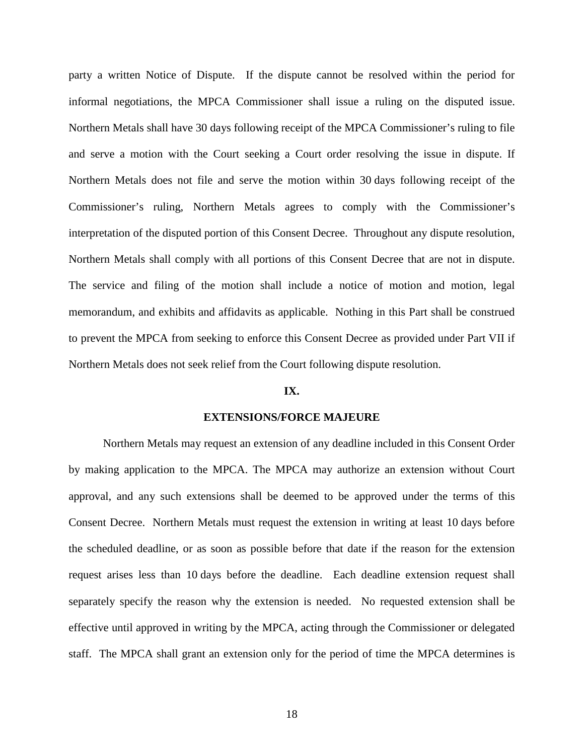party a written Notice of Dispute. If the dispute cannot be resolved within the period for informal negotiations, the MPCA Commissioner shall issue a ruling on the disputed issue. Northern Metals shall have 30 days following receipt of the MPCA Commissioner's ruling to file and serve a motion with the Court seeking a Court order resolving the issue in dispute. If Northern Metals does not file and serve the motion within 30 days following receipt of the Commissioner's ruling, Northern Metals agrees to comply with the Commissioner's interpretation of the disputed portion of this Consent Decree. Throughout any dispute resolution, Northern Metals shall comply with all portions of this Consent Decree that are not in dispute. The service and filing of the motion shall include a notice of motion and motion, legal memorandum, and exhibits and affidavits as applicable. Nothing in this Part shall be construed to prevent the MPCA from seeking to enforce this Consent Decree as provided under Part VII if Northern Metals does not seek relief from the Court following dispute resolution.

### **IX.**

#### **EXTENSIONS/FORCE MAJEURE**

Northern Metals may request an extension of any deadline included in this Consent Order by making application to the MPCA. The MPCA may authorize an extension without Court approval, and any such extensions shall be deemed to be approved under the terms of this Consent Decree. Northern Metals must request the extension in writing at least 10 days before the scheduled deadline, or as soon as possible before that date if the reason for the extension request arises less than 10 days before the deadline. Each deadline extension request shall separately specify the reason why the extension is needed. No requested extension shall be effective until approved in writing by the MPCA, acting through the Commissioner or delegated staff. The MPCA shall grant an extension only for the period of time the MPCA determines is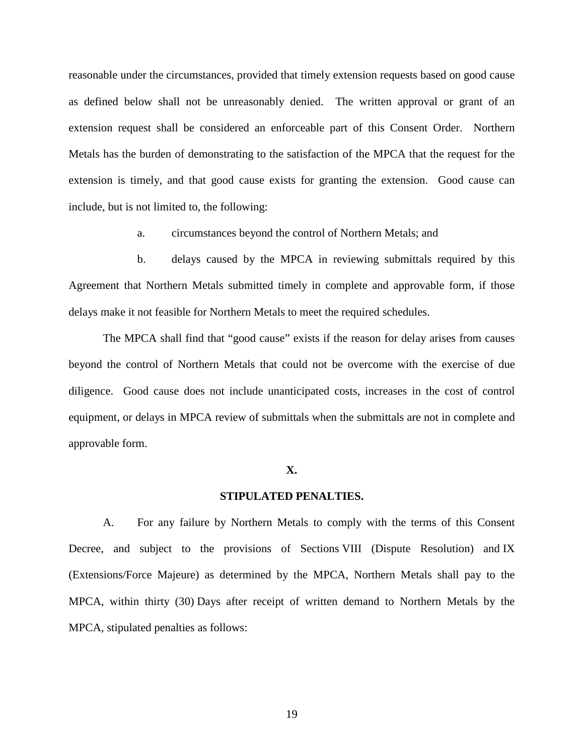reasonable under the circumstances, provided that timely extension requests based on good cause as defined below shall not be unreasonably denied. The written approval or grant of an extension request shall be considered an enforceable part of this Consent Order. Northern Metals has the burden of demonstrating to the satisfaction of the MPCA that the request for the extension is timely, and that good cause exists for granting the extension. Good cause can include, but is not limited to, the following:

a. circumstances beyond the control of Northern Metals; and

b. delays caused by the MPCA in reviewing submittals required by this Agreement that Northern Metals submitted timely in complete and approvable form, if those delays make it not feasible for Northern Metals to meet the required schedules.

The MPCA shall find that "good cause" exists if the reason for delay arises from causes beyond the control of Northern Metals that could not be overcome with the exercise of due diligence. Good cause does not include unanticipated costs, increases in the cost of control equipment, or delays in MPCA review of submittals when the submittals are not in complete and approvable form.

### **X.**

### **STIPULATED PENALTIES.**

A. For any failure by Northern Metals to comply with the terms of this Consent Decree, and subject to the provisions of Sections VIII (Dispute Resolution) and IX (Extensions/Force Majeure) as determined by the MPCA, Northern Metals shall pay to the MPCA, within thirty (30) Days after receipt of written demand to Northern Metals by the MPCA, stipulated penalties as follows: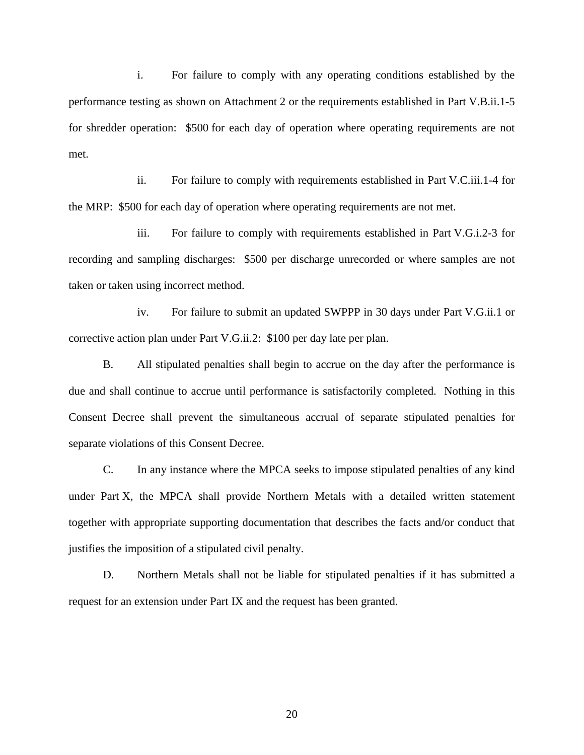i. For failure to comply with any operating conditions established by the performance testing as shown on Attachment 2 or the requirements established in Part V.B.ii.1-5 for shredder operation: \$500 for each day of operation where operating requirements are not met.

ii. For failure to comply with requirements established in Part V.C.iii.1-4 for the MRP: \$500 for each day of operation where operating requirements are not met.

iii. For failure to comply with requirements established in Part V.G.i.2-3 for recording and sampling discharges: \$500 per discharge unrecorded or where samples are not taken or taken using incorrect method.

iv. For failure to submit an updated SWPPP in 30 days under Part V.G.ii.1 or corrective action plan under Part V.G.ii.2: \$100 per day late per plan.

B. All stipulated penalties shall begin to accrue on the day after the performance is due and shall continue to accrue until performance is satisfactorily completed. Nothing in this Consent Decree shall prevent the simultaneous accrual of separate stipulated penalties for separate violations of this Consent Decree.

C. In any instance where the MPCA seeks to impose stipulated penalties of any kind under Part X, the MPCA shall provide Northern Metals with a detailed written statement together with appropriate supporting documentation that describes the facts and/or conduct that justifies the imposition of a stipulated civil penalty.

D. Northern Metals shall not be liable for stipulated penalties if it has submitted a request for an extension under Part IX and the request has been granted.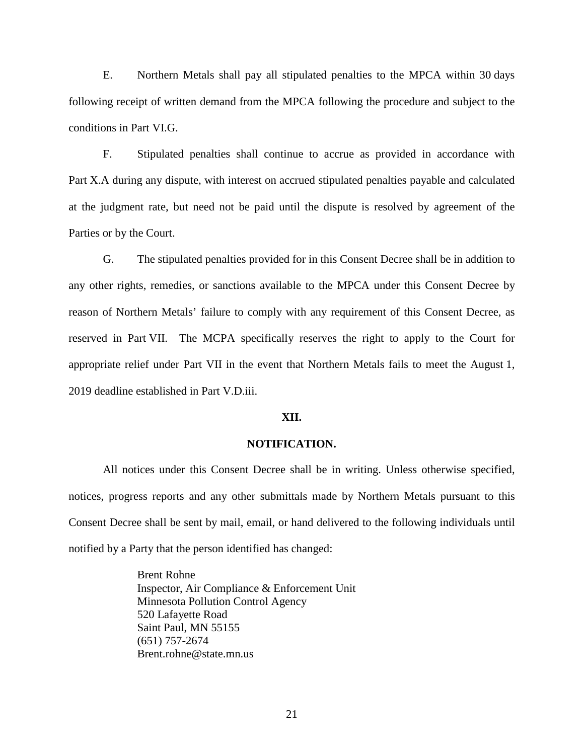E. Northern Metals shall pay all stipulated penalties to the MPCA within 30 days following receipt of written demand from the MPCA following the procedure and subject to the conditions in Part VI.G.

F. Stipulated penalties shall continue to accrue as provided in accordance with Part X.A during any dispute, with interest on accrued stipulated penalties payable and calculated at the judgment rate, but need not be paid until the dispute is resolved by agreement of the Parties or by the Court.

G. The stipulated penalties provided for in this Consent Decree shall be in addition to any other rights, remedies, or sanctions available to the MPCA under this Consent Decree by reason of Northern Metals' failure to comply with any requirement of this Consent Decree, as reserved in Part VII. The MCPA specifically reserves the right to apply to the Court for appropriate relief under Part VII in the event that Northern Metals fails to meet the August 1, 2019 deadline established in Part V.D.iii.

### **XII.**

### **NOTIFICATION.**

All notices under this Consent Decree shall be in writing. Unless otherwise specified, notices, progress reports and any other submittals made by Northern Metals pursuant to this Consent Decree shall be sent by mail, email, or hand delivered to the following individuals until notified by a Party that the person identified has changed:

> Brent Rohne Inspector, Air Compliance & Enforcement Unit Minnesota Pollution Control Agency 520 Lafayette Road Saint Paul, MN 55155 (651) 757-2674 Brent.rohne@state.mn.us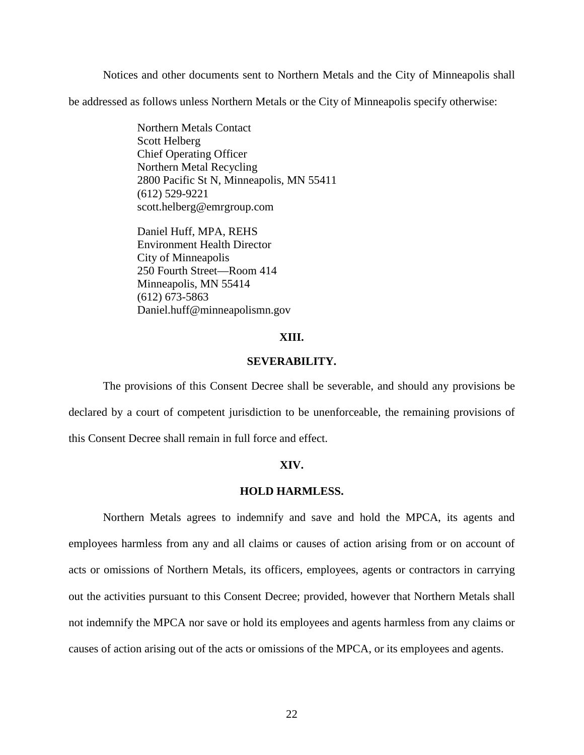Notices and other documents sent to Northern Metals and the City of Minneapolis shall

be addressed as follows unless Northern Metals or the City of Minneapolis specify otherwise:

Northern Metals Contact Scott Helberg Chief Operating Officer Northern Metal Recycling 2800 Pacific St N, Minneapolis, MN 55411 (612) 529-9221 scott.helberg@emrgroup.com

Daniel Huff, MPA, REHS Environment Health Director City of Minneapolis 250 Fourth Street—Room 414 Minneapolis, MN 55414 (612) 673-5863 Daniel.huff@minneapolismn.gov

### **XIII.**

# **SEVERABILITY.**

The provisions of this Consent Decree shall be severable, and should any provisions be declared by a court of competent jurisdiction to be unenforceable, the remaining provisions of this Consent Decree shall remain in full force and effect.

### **XIV.**

### **HOLD HARMLESS.**

Northern Metals agrees to indemnify and save and hold the MPCA, its agents and employees harmless from any and all claims or causes of action arising from or on account of acts or omissions of Northern Metals, its officers, employees, agents or contractors in carrying out the activities pursuant to this Consent Decree; provided, however that Northern Metals shall not indemnify the MPCA nor save or hold its employees and agents harmless from any claims or causes of action arising out of the acts or omissions of the MPCA, or its employees and agents.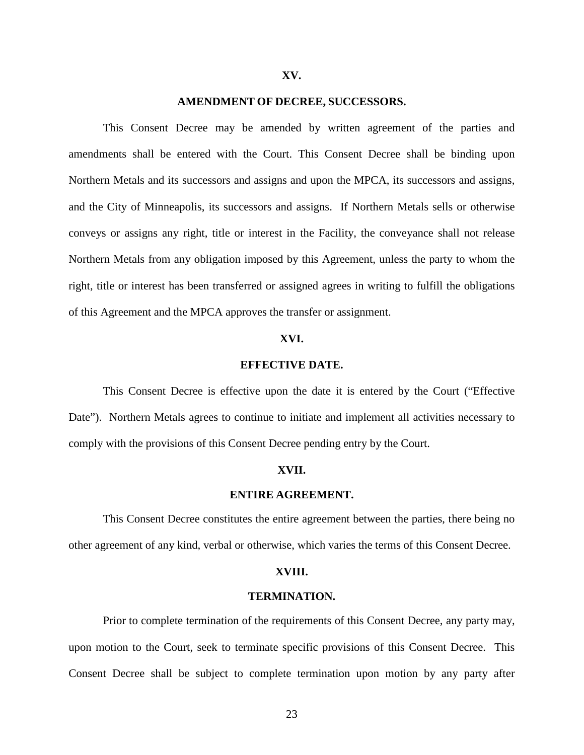#### **XV.**

### **AMENDMENT OF DECREE, SUCCESSORS.**

This Consent Decree may be amended by written agreement of the parties and amendments shall be entered with the Court. This Consent Decree shall be binding upon Northern Metals and its successors and assigns and upon the MPCA, its successors and assigns, and the City of Minneapolis, its successors and assigns. If Northern Metals sells or otherwise conveys or assigns any right, title or interest in the Facility, the conveyance shall not release Northern Metals from any obligation imposed by this Agreement, unless the party to whom the right, title or interest has been transferred or assigned agrees in writing to fulfill the obligations of this Agreement and the MPCA approves the transfer or assignment.

### **XVI.**

#### **EFFECTIVE DATE.**

This Consent Decree is effective upon the date it is entered by the Court ("Effective Date"). Northern Metals agrees to continue to initiate and implement all activities necessary to comply with the provisions of this Consent Decree pending entry by the Court.

#### **XVII.**

### **ENTIRE AGREEMENT.**

This Consent Decree constitutes the entire agreement between the parties, there being no other agreement of any kind, verbal or otherwise, which varies the terms of this Consent Decree.

### **XVIII.**

### **TERMINATION.**

Prior to complete termination of the requirements of this Consent Decree, any party may, upon motion to the Court, seek to terminate specific provisions of this Consent Decree. This Consent Decree shall be subject to complete termination upon motion by any party after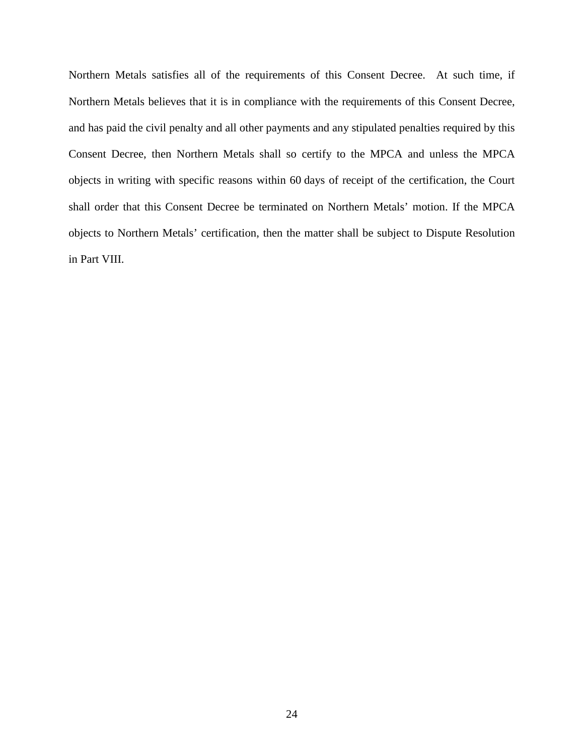Northern Metals satisfies all of the requirements of this Consent Decree. At such time, if Northern Metals believes that it is in compliance with the requirements of this Consent Decree, and has paid the civil penalty and all other payments and any stipulated penalties required by this Consent Decree, then Northern Metals shall so certify to the MPCA and unless the MPCA objects in writing with specific reasons within 60 days of receipt of the certification, the Court shall order that this Consent Decree be terminated on Northern Metals' motion. If the MPCA objects to Northern Metals' certification, then the matter shall be subject to Dispute Resolution in Part VIII.